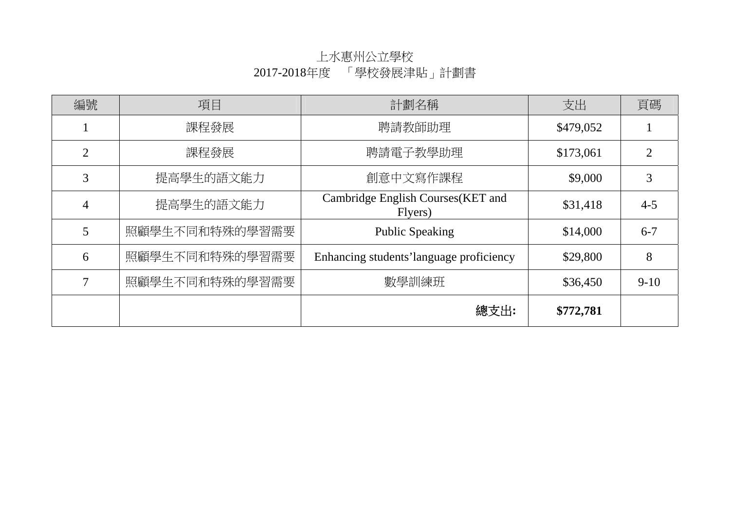# 上水惠州公立學校 2017-2018年度 「學校發展津貼」計劃書

| 編號 | 項目             | 計劃名稱                                         | 支出        | 頁碼             |
|----|----------------|----------------------------------------------|-----------|----------------|
|    | 課程發展           | 聘請教師助理                                       | \$479,052 |                |
| 2  | 課程發展           | 聘請電子教學助理                                     | \$173,061 | $\overline{2}$ |
| 3  | 提高學生的語文能力      | 創意中文寫作課程                                     | \$9,000   | 3              |
| 4  | 提高學生的語文能力      | Cambridge English Courses(KET and<br>Flyers) | \$31,418  | $4 - 5$        |
| 5  | 照顧學生不同和特殊的學習需要 | <b>Public Speaking</b>                       | \$14,000  | $6 - 7$        |
| 6  | 照顧學生不同和特殊的學習需要 | Enhancing students' language proficiency     | \$29,800  | 8              |
| 7  | 照顧學生不同和特殊的學習需要 | 數學訓練班                                        | \$36,450  | $9 - 10$       |
|    |                | 總支出:                                         | \$772,781 |                |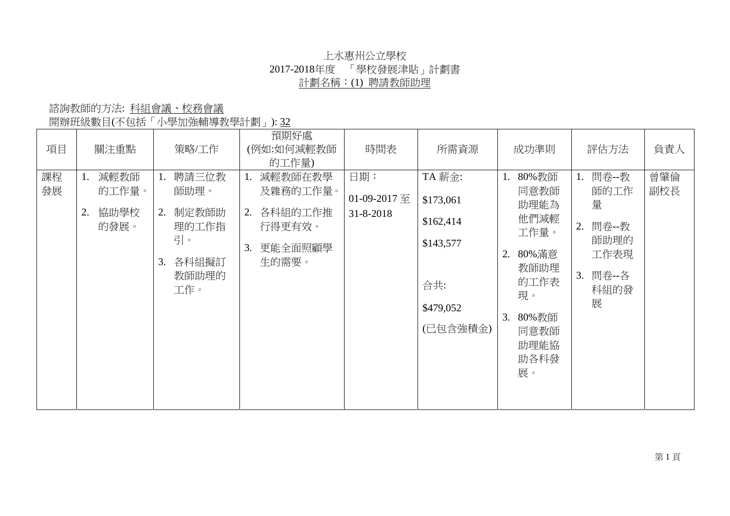## 上水惠州公立學校 2017-2018年度 「學校發展津貼」計劃書 計劃名稱:(1) 聘請教師助理

開辦班級數目(不包括「小學加強輔導教學計劃」): 32

| 項目       | 關注重點                                | 策略/工作                                                                            | 預期好處<br>(例如:如何減輕教師<br>的工作量)                                                    | 時間表                                    | 所需資源                                                                          | 成功準則                                                                                                                           | 評估方法                                                                          | 負責人        |
|----------|-------------------------------------|----------------------------------------------------------------------------------|--------------------------------------------------------------------------------|----------------------------------------|-------------------------------------------------------------------------------|--------------------------------------------------------------------------------------------------------------------------------|-------------------------------------------------------------------------------|------------|
| 課程<br>發展 | 減輕教師<br>的工作量。<br>協助學校<br>2.<br>的發展。 | 聘請三位教<br>1.<br>師助理。<br>制定教師助<br>2.<br>理的工作指<br>引。<br>各科組擬訂<br>3.<br>教師助理的<br>工作。 | 減輕教師在教學<br>1.<br>及雜務的工作量。<br>各科組的工作推<br>2.<br>行得更有效。<br>更能全面照顧學<br>3.<br>生的需要。 | 日期:<br>01-09-2017 至<br>$31 - 8 - 2018$ | TA 薪金:<br>\$173,061<br>\$162,414<br>\$143,577<br>合共:<br>\$479,052<br>(已包含強積金) | 80%教師<br>1.<br>同意教師<br>助理能為<br>他們減輕<br>工作量。<br>80% 滿意<br>2.<br>教師助理<br>的工作表<br>現。<br>3.<br>80%教師<br>同意教師<br>助理能協<br>助各科發<br>展。 | 問卷--教<br>師的工作<br>量<br>問卷--教<br>2.<br>師助理的<br>工作表現<br>問卷--各<br>3.<br>科組的發<br>展 | 曾肇倫<br>副校長 |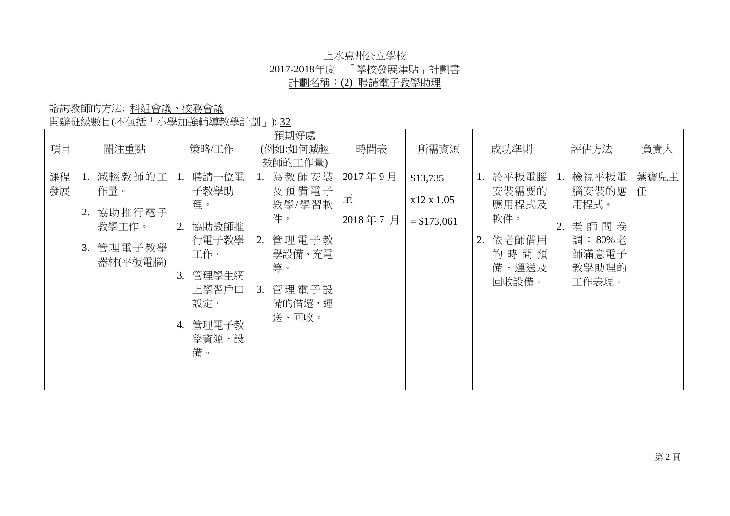## 上水惠州公立學校 2017-2018年度 「學校發展津貼」計劃書 計劃名稱:(2) 聘請電子教學助理

開辦班級數目(不包括「小學加強輔導教學計劃」): 32

| 項目       | 關注重點                                                               | 策略/工作                                                                                                                 | 預期好處<br>(例如:如何減輕<br>教師的工作量)                                                                     | 時間表                     | 所需資源                                   | 成功準則                                                                          | 評估方法                                                                            | 負責人       |
|----------|--------------------------------------------------------------------|-----------------------------------------------------------------------------------------------------------------------|-------------------------------------------------------------------------------------------------|-------------------------|----------------------------------------|-------------------------------------------------------------------------------|---------------------------------------------------------------------------------|-----------|
| 課程<br>發展 | 減輕教師的工<br>作量。<br>協助推行電子<br>2.<br>教學工作。<br>管理電子教學<br>3.<br>器材(平板電腦) | 聘請一位電<br>1.<br>子教學助<br>理。<br>協助教師推<br>2.<br>行電子教學<br>工作。<br>管理學生網<br>3.<br>上學習戶口<br>設定。<br>管理電子教<br>4.<br>學資源、設<br>備。 | 為教師安裝<br>及預備電子<br>教學/學習軟<br>件。<br>管理電子教<br>2.<br>學設備、充電<br>等。<br>管理電子設<br>3.<br>備的借還、運<br>送、回收。 | 2017年9月<br>至<br>2018年7月 | \$13,735<br>x12 x 1.05<br>$= $173,061$ | 於平板電腦<br>1.<br>安裝需要的<br>應用程式及<br>軟件。<br>依老師借用<br>2.<br>的時間預<br>備、運送及<br>回收設備。 | 檢視平板電<br>1.<br>腦安裝的應<br>用程式。<br>老師問卷<br>2.<br>調:80%老<br>師滿意電子<br>教學助理的<br>工作表現。 | 葉寶兒主<br>任 |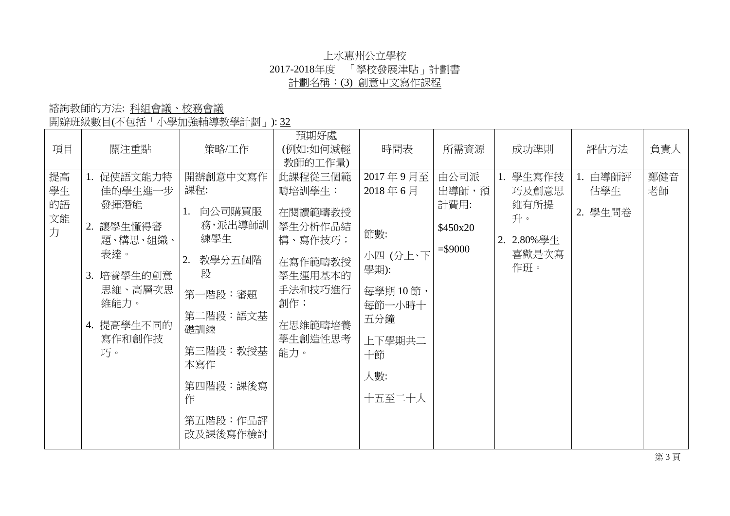## 上水惠州公立學校 2017-2018年度 「學校發展津貼」計劃書 計劃名稱:(3) 創意中文寫作課程

| 項目                        | 關注重點                                                                                                                            | 策略/工作                                                                                                                                                            | 預期好處<br>(例如:如何減輕<br>教師的工作量)                                                                                             | 時間表                                                                                                        | 所需資源                                           | 成功準則                                                          | 評估方法                      | 負責人       |
|---------------------------|---------------------------------------------------------------------------------------------------------------------------------|------------------------------------------------------------------------------------------------------------------------------------------------------------------|-------------------------------------------------------------------------------------------------------------------------|------------------------------------------------------------------------------------------------------------|------------------------------------------------|---------------------------------------------------------------|---------------------------|-----------|
| 提高<br>學生<br>的語<br>文能<br>力 | 1. 促使語文能力特<br>佳的學生進一步<br>發揮潛能<br>讓學生懂得審<br>2.<br>題、構思、組織、<br>表達。<br>3. 培養學生的創意<br>思維、高層次思<br>維能力。<br>4. 提高學生不同的<br>寫作和創作技<br>巧。 | 開辦創意中文寫作<br>課程:<br>向公司購買服<br>1.<br>務,派出導師訓<br>練學生<br>教學分五個階<br>2.<br>段<br>第一階段:審題<br>第二階段:語文基<br>礎訓練<br>第三階段:教授基<br>本寫作<br>第四階段:課後寫<br>作<br>第五階段:作品評<br>改及課後寫作檢討 | 此課程從三個範<br>疇培訓學生:<br>在閱讀範疇教授<br>學生分析作品結<br>構、寫作技巧;<br>在寫作範疇教授<br>學生運用基本的<br>手法和技巧進行<br>創作;<br>在思維範疇培養<br>學生創造性思考<br>能力。 | 2017年9月至<br>2018年6月<br>節數:<br>小四(分上、下<br>學期):<br>每學期10節,<br>每節一小時十<br>五分鐘<br>上下學期共二<br>十節<br>人數:<br>十五至二十人 | 由公司派<br>出導師,預<br>計費用:<br>\$450x20<br>$= $9000$ | 1. 學生寫作技<br>巧及創意思<br>維有所提<br>升。<br>2. 2.80%學生<br>喜歡是次寫<br>作班。 | 1. 由導師評<br>估學生<br>2. 學生問卷 | 鄭健音<br>老師 |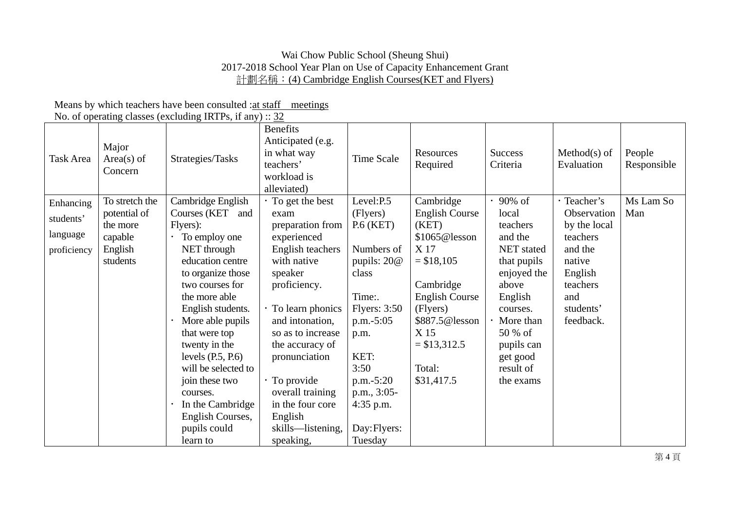#### Wai Chow Public School (Sheung Shui) 2017-2018 School Year Plan on Use of Capacity Enhancement Grant 計劃名稱:(4) Cambridge English Courses(KET and Flyers)

#### Means by which teachers have been consulted : at staff meetings No. of operating classes (excluding IRTPs, if any)  $\cdot$  32

|                        |                                  | TVO. OF Operating classes (excluding tixed s, if any) $\ldots$ 32                                                                                                                                                                                                                                       |                                                                                                                                                                                                                                                      |                                                                                                                                                                      |                                                                                                                                          |                                                                                                                                                              |                                                                           |                       |
|------------------------|----------------------------------|---------------------------------------------------------------------------------------------------------------------------------------------------------------------------------------------------------------------------------------------------------------------------------------------------------|------------------------------------------------------------------------------------------------------------------------------------------------------------------------------------------------------------------------------------------------------|----------------------------------------------------------------------------------------------------------------------------------------------------------------------|------------------------------------------------------------------------------------------------------------------------------------------|--------------------------------------------------------------------------------------------------------------------------------------------------------------|---------------------------------------------------------------------------|-----------------------|
| Task Area              | Major<br>$Area(s)$ of<br>Concern | Strategies/Tasks                                                                                                                                                                                                                                                                                        | <b>Benefits</b><br>Anticipated (e.g.<br>in what way<br>teachers'<br>workload is<br>alleviated)                                                                                                                                                       | Time Scale                                                                                                                                                           | Resources<br>Required                                                                                                                    | <b>Success</b><br>Criteria                                                                                                                                   | $Method(s)$ of<br>Evaluation                                              | People<br>Responsible |
| Enhancing<br>students' | To stretch the<br>potential of   | Cambridge English<br>Courses (KET<br>and                                                                                                                                                                                                                                                                | $\cdot$ To get the best<br>exam                                                                                                                                                                                                                      | Level:P.5<br>(Flyers)                                                                                                                                                | Cambridge<br><b>English Course</b>                                                                                                       | 90% of<br>local                                                                                                                                              | · Teacher's<br>Observation                                                | Ms Lam So<br>Man      |
| language               | the more<br>capable              | Flyers):<br>To employ one                                                                                                                                                                                                                                                                               | preparation from<br>experienced                                                                                                                                                                                                                      | $P.6$ (KET)                                                                                                                                                          | (KET)<br>\$1065@lesson                                                                                                                   | teachers<br>and the                                                                                                                                          | by the local<br>teachers                                                  |                       |
| proficiency            | English<br>students              | NET through<br>education centre<br>to organize those<br>two courses for<br>the more able<br>English students.<br>More able pupils<br>that were top<br>twenty in the<br>levels $(P.5, P.6)$<br>will be selected to<br>join these two<br>courses.<br>In the Cambridge<br>English Courses,<br>pupils could | English teachers<br>with native<br>speaker<br>proficiency.<br>· To learn phonics<br>and intonation,<br>so as to increase<br>the accuracy of<br>pronunciation<br>· To provide<br>overall training<br>in the four core<br>English<br>skills—listening, | Numbers of<br>pupils: $20@$<br>class<br>Time:.<br>Flyers: $3:50$<br>$p.m.-5:05$<br>p.m.<br>KET:<br>3:50<br>$p.m.-5:20$<br>$p.m., 3:05-$<br>4:35 p.m.<br>Day: Flyers: | X 17<br>$= $18,105$<br>Cambridge<br><b>English Course</b><br>(Flyers)<br>\$887.5@lesson<br>X 15<br>$= $13,312.5$<br>Total:<br>\$31,417.5 | NET stated<br>that pupils<br>enjoyed the<br>above<br>English<br>courses.<br>$\cdot$ More than<br>50 % of<br>pupils can<br>get good<br>result of<br>the exams | and the<br>native<br>English<br>teachers<br>and<br>students'<br>feedback. |                       |
|                        |                                  | learn to                                                                                                                                                                                                                                                                                                | speaking,                                                                                                                                                                                                                                            | Tuesday                                                                                                                                                              |                                                                                                                                          |                                                                                                                                                              |                                                                           |                       |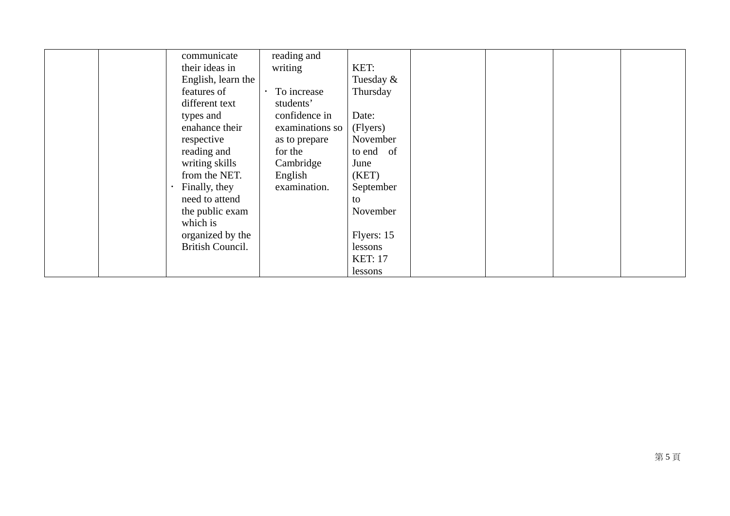| communicate<br>their ideas in<br>English, learn the | reading and<br>writing           | KET:<br>Tuesday $&$       |  |  |
|-----------------------------------------------------|----------------------------------|---------------------------|--|--|
| features of<br>different text                       | To increase<br>students'         | Thursday                  |  |  |
| types and<br>enahance their                         | confidence in<br>examinations so | Date:<br>(Flyers)         |  |  |
| respective<br>reading and                           | as to prepare<br>for the         | November<br>to end of     |  |  |
| writing skills<br>from the NET.                     | Cambridge<br>English             | June<br>(KET)             |  |  |
| Finally, they<br>need to attend                     | examination.                     | September<br>to           |  |  |
| the public exam<br>which is                         |                                  | November                  |  |  |
| organized by the<br><b>British Council.</b>         |                                  | Flyers: 15                |  |  |
|                                                     |                                  | lessons<br><b>KET: 17</b> |  |  |
|                                                     |                                  | lessons                   |  |  |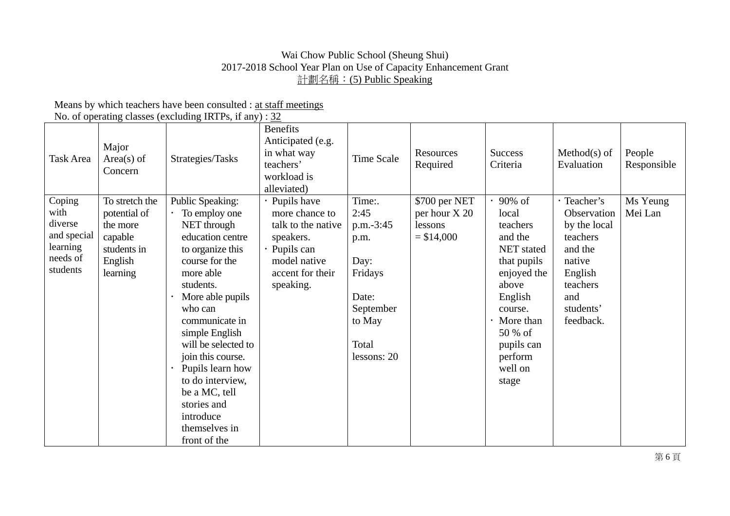#### Wai Chow Public School (Sheung Shui) 2017-2018 School Year Plan on Use of Capacity Enhancement Grant 計劃名稱:(5) Public Speaking

 Means by which teachers have been consulted : at staff meetings No. of operating classes (excluding IRTPs, if any) :  $32$ 

| Task Area                                                                    | Major<br>Area(s) of<br>Concern                                                              | 130. Of operating enables (exerciting fixed s, if any $f : \frac{32}{24}$<br>Strategies/Tasks                                                                                                                                                                                                                                                                                     | <b>Benefits</b><br>Anticipated (e.g.<br>in what way<br>teachers'<br>workload is<br>alleviated)                                      | Time Scale                                                                                                     | Resources<br>Required                                    | <b>Success</b><br>Criteria                                                                                                                                                             | $Method(s)$ of<br>Evaluation                                                                                                        | People<br>Responsible |
|------------------------------------------------------------------------------|---------------------------------------------------------------------------------------------|-----------------------------------------------------------------------------------------------------------------------------------------------------------------------------------------------------------------------------------------------------------------------------------------------------------------------------------------------------------------------------------|-------------------------------------------------------------------------------------------------------------------------------------|----------------------------------------------------------------------------------------------------------------|----------------------------------------------------------|----------------------------------------------------------------------------------------------------------------------------------------------------------------------------------------|-------------------------------------------------------------------------------------------------------------------------------------|-----------------------|
| Coping<br>with<br>diverse<br>and special<br>learning<br>needs of<br>students | To stretch the<br>potential of<br>the more<br>capable<br>students in<br>English<br>learning | Public Speaking:<br>$\cdot$ To employ one<br>NET through<br>education centre<br>to organize this<br>course for the<br>more able<br>students.<br>More able pupils<br>who can<br>communicate in<br>simple English<br>will be selected to<br>join this course.<br>Pupils learn how<br>to do interview,<br>be a MC, tell<br>stories and<br>introduce<br>themselves in<br>front of the | · Pupils have<br>more chance to<br>talk to the native<br>speakers.<br>· Pupils can<br>model native<br>accent for their<br>speaking. | Time:.<br>2:45<br>p.m.-3:45<br>p.m.<br>Day:<br>Fridays<br>Date:<br>September<br>to May<br>Total<br>lessons: 20 | \$700 per NET<br>per hour X 20<br>lessons<br>$= $14,000$ | 90% of<br>local<br>teachers<br>and the<br>NET stated<br>that pupils<br>enjoyed the<br>above<br>English<br>course.<br>More than<br>50 % of<br>pupils can<br>perform<br>well on<br>stage | · Teacher's<br>Observation<br>by the local<br>teachers<br>and the<br>native<br>English<br>teachers<br>and<br>students'<br>feedback. | Ms Yeung<br>Mei Lan   |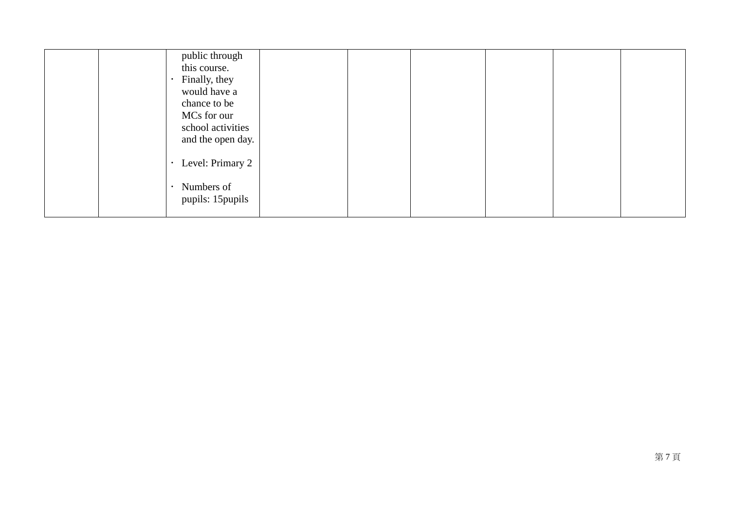| public through<br>this course.<br>Finally, they<br>would have a<br>chance to be<br>MCs for our<br>school activities<br>and the open day. |  |  |  |
|------------------------------------------------------------------------------------------------------------------------------------------|--|--|--|
| Level: Primary 2<br>Numbers of<br>pupils: 15 pupils                                                                                      |  |  |  |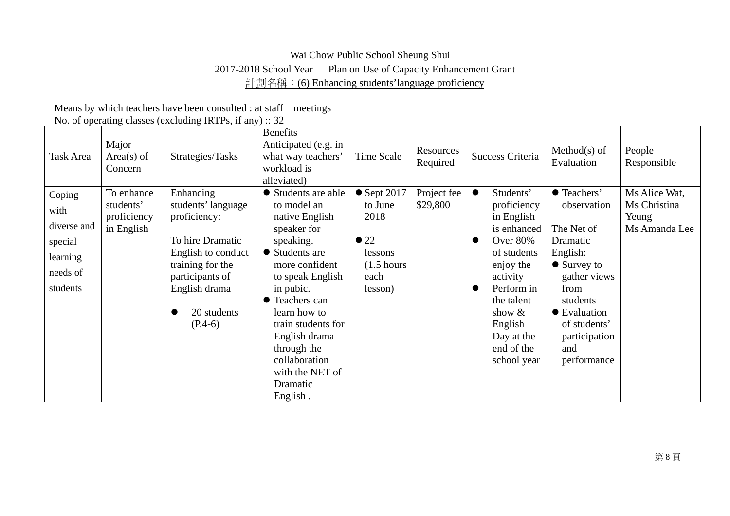# Wai Chow Public School Sheung Shui 2017-2018 School Year Plan on Use of Capacity Enhancement Grant 計劃名稱: (6) Enhancing students' language proficiency

|                                                                              |                                                      | 1.0. 0. operating enables (encreasing man b) in any f at <u>ex</u>                                                                                                            |                                                                                                                                                                                                                                                                                                           |                                                                                                               |                         |                                                                                                                                                                                                                       |                                                                                                                                                                                                    |                                                         |
|------------------------------------------------------------------------------|------------------------------------------------------|-------------------------------------------------------------------------------------------------------------------------------------------------------------------------------|-----------------------------------------------------------------------------------------------------------------------------------------------------------------------------------------------------------------------------------------------------------------------------------------------------------|---------------------------------------------------------------------------------------------------------------|-------------------------|-----------------------------------------------------------------------------------------------------------------------------------------------------------------------------------------------------------------------|----------------------------------------------------------------------------------------------------------------------------------------------------------------------------------------------------|---------------------------------------------------------|
| Task Area                                                                    | Major<br>$Area(s)$ of<br>Concern                     | Strategies/Tasks                                                                                                                                                              | <b>Benefits</b><br>Anticipated (e.g. in<br>what way teachers'<br>workload is<br>alleviated)                                                                                                                                                                                                               | Time Scale                                                                                                    | Resources<br>Required   | Success Criteria                                                                                                                                                                                                      | $Method(s)$ of<br>Evaluation                                                                                                                                                                       | People<br>Responsible                                   |
| Coping<br>with<br>diverse and<br>special<br>learning<br>needs of<br>students | To enhance<br>students'<br>proficiency<br>in English | Enhancing<br>students' language<br>proficiency:<br>To hire Dramatic<br>English to conduct<br>training for the<br>participants of<br>English drama<br>20 students<br>$(P.4-6)$ | • Students are able<br>to model an<br>native English<br>speaker for<br>speaking.<br>• Students are<br>more confident<br>to speak English<br>in pubic.<br>• Teachers can<br>learn how to<br>train students for<br>English drama<br>through the<br>collaboration<br>with the NET of<br>Dramatic<br>English. | $\bullet$ Sept 2017<br>to June<br>2018<br>$\bullet$ 22<br>lessons<br>$(1.5 \text{ hours})$<br>each<br>lesson) | Project fee<br>\$29,800 | $\bullet$<br>Students'<br>proficiency<br>in English<br>is enhanced<br>Over 80%<br>of students<br>enjoy the<br>activity<br>Perform in<br>the talent<br>show $\&$<br>English<br>Day at the<br>end of the<br>school year | ● Teachers'<br>observation<br>The Net of<br>Dramatic<br>English:<br>$\bullet$ Survey to<br>gather views<br>from<br>students<br>• Evaluation<br>of students'<br>participation<br>and<br>performance | Ms Alice Wat,<br>Ms Christina<br>Yeung<br>Ms Amanda Lee |

Means by which teachers have been consulted : at staff meetings No. of operating classes (excluding IRTPs, if any) :: 32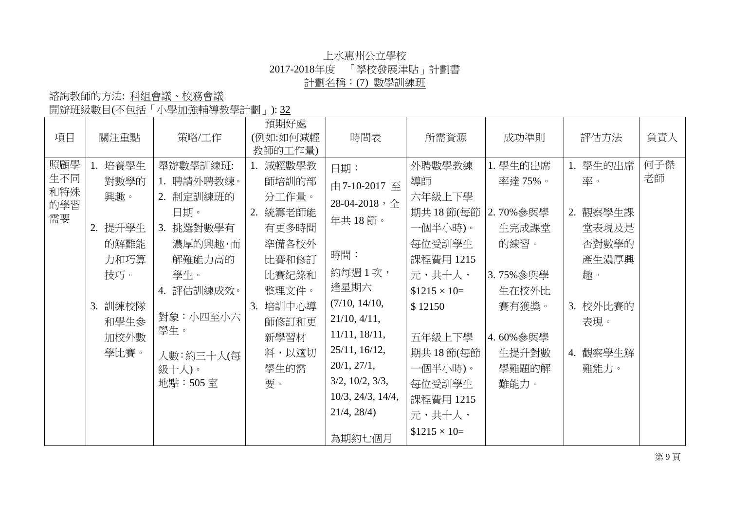## 上水惠州公立學校 2017-2018年度 「學校發展津貼」計劃書 計劃名稱:(7) 數學訓練班

開辦班級數目(不包括「小學加強輔導教學計劃」): 32

| 項目                             | 關注重點                                                                                        | 策略/工作                                                                                                                                                     | 預期好處<br>(例如:如何減輕<br>教師的工作量)                                                                                                                | 時間表                                                                                                                                                                                                                                               | 所需資源                                                                                                                                                                                                    | 成功準則                                                                                                                  | 評估方法                                                                                                     | 負責人       |
|--------------------------------|---------------------------------------------------------------------------------------------|-----------------------------------------------------------------------------------------------------------------------------------------------------------|--------------------------------------------------------------------------------------------------------------------------------------------|---------------------------------------------------------------------------------------------------------------------------------------------------------------------------------------------------------------------------------------------------|---------------------------------------------------------------------------------------------------------------------------------------------------------------------------------------------------------|-----------------------------------------------------------------------------------------------------------------------|----------------------------------------------------------------------------------------------------------|-----------|
| 照顧學<br>生不同<br>和特殊<br>的學習<br>需要 | 1. 培養學生<br>對數學的<br>興趣。<br>2. 提升學生<br>的解難能<br>力和巧算<br>技巧。<br>3. 訓練校隊<br>和學生參<br>加校外數<br>學比賽。 | 舉辦數學訓練班:<br>1. 聘請外聘教練。<br>2. 制定訓練班的<br>日期。<br>挑選對數學有<br>3.<br>濃厚的興趣,而<br>解難能力高的<br>學生。<br>4. 評估訓練成效。<br>對象:小四至小六<br>學生。<br>人數:約三十人(每<br>鈒十人)。<br>地點: 505室 | 減輕數學教<br>師培訓的部<br>分工作量。<br>統籌老師能<br>2.<br>有更多時間<br>準備各校外<br>比賽和修訂<br>比賽紀錄和<br>整理文件。<br>培訓中心導<br>3.<br>師修訂和更<br>新學習材<br>料,以適切<br>學生的需<br>要。 | 日期:<br>由7-10-2017 至<br>28-04-2018,全<br>年共18節。<br>時間:<br>約每週1次,<br>逢星期六<br>(7/10, 14/10,<br>21/10, 4/11,<br>$11/11$ , $18/11$ ,<br>25/11, 16/12,<br>20/1, 27/1,<br>$3/2$ , $10/2$ , $3/3$ ,<br>$10/3$ , $24/3$ , $14/4$ ,<br>21/4, 28/4)<br>為期約七個月 | 外聘數學教練<br>導師<br>六年級上下學<br>期共18節(每節<br>一個半小時)。<br>每位受訓學生<br>課程費用 1215<br>元,共十人,<br>$$1215 \times 10=$<br>\$12150<br>五年級上下學<br>期共18節(每節<br>一個半小時)。<br>每位受訓學生<br>課程費用 1215<br>元,共十人,<br>$$1215 \times 10=$ | 1. 學生的出席<br>率達 75%。<br>2.70%參與學<br>生完成課堂<br>的練習。<br>3.75% 參與學<br>生在校外比<br>賽有獲獎。<br>4.60%參與學<br>生提升對數<br>學難題的解<br>難能力。 | 1. 學生的出席<br>率。<br>觀察學生課<br>2.<br>堂表現及是<br>否對數學的<br>產生濃厚興<br>趣。<br>3. 校外比賽的<br>表現。<br>觀察學生解<br>4.<br>難能力。 | 何子傑<br>老師 |